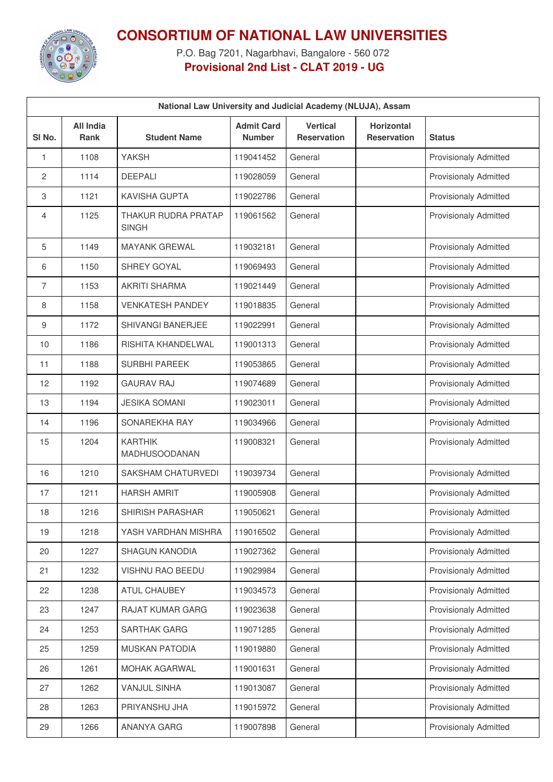

## **CONSORTIUM OF NATIONAL LAW UNIVERSITIES**

P.O. Bag 7201, Nagarbhavi, Bangalore - 560 072 **Provisional 2nd List - CLAT 2019 - UG**

| National Law University and Judicial Academy (NLUJA), Assam |                                 |                                     |                                    |                                |                                         |                              |
|-------------------------------------------------------------|---------------------------------|-------------------------------------|------------------------------------|--------------------------------|-----------------------------------------|------------------------------|
| SI No.                                                      | <b>All India</b><br><b>Rank</b> | <b>Student Name</b>                 | <b>Admit Card</b><br><b>Number</b> | <b>Vertical</b><br>Reservation | <b>Horizontal</b><br><b>Reservation</b> | <b>Status</b>                |
| 1                                                           | 1108                            | <b>YAKSH</b>                        | 119041452                          | General                        |                                         | <b>Provisionaly Admitted</b> |
| $\overline{c}$                                              | 1114                            | <b>DEEPALI</b>                      | 119028059                          | General                        |                                         | <b>Provisionaly Admitted</b> |
| 3                                                           | 1121                            | <b>KAVISHA GUPTA</b>                | 119022786                          | General                        |                                         | <b>Provisionaly Admitted</b> |
| $\overline{4}$                                              | 1125                            | THAKUR RUDRA PRATAP<br><b>SINGH</b> | 119061562                          | General                        |                                         | <b>Provisionaly Admitted</b> |
| 5                                                           | 1149                            | <b>MAYANK GREWAL</b>                | 119032181                          | General                        |                                         | <b>Provisionaly Admitted</b> |
| 6                                                           | 1150                            | SHREY GOYAL                         | 119069493                          | General                        |                                         | Provisionaly Admitted        |
| 7                                                           | 1153                            | <b>AKRITI SHARMA</b>                | 119021449                          | General                        |                                         | <b>Provisionaly Admitted</b> |
| 8                                                           | 1158                            | <b>VENKATESH PANDEY</b>             | 119018835                          | General                        |                                         | Provisionaly Admitted        |
| 9                                                           | 1172                            | SHIVANGI BANERJEE                   | 119022991                          | General                        |                                         | <b>Provisionaly Admitted</b> |
| 10                                                          | 1186                            | RISHITA KHANDELWAL                  | 119001313                          | General                        |                                         | Provisionaly Admitted        |
| 11                                                          | 1188                            | <b>SURBHI PAREEK</b>                | 119053865                          | General                        |                                         | <b>Provisionaly Admitted</b> |
| 12                                                          | 1192                            | <b>GAURAV RAJ</b>                   | 119074689                          | General                        |                                         | <b>Provisionaly Admitted</b> |
| 13                                                          | 1194                            | <b>JESIKA SOMANI</b>                | 119023011                          | General                        |                                         | <b>Provisionaly Admitted</b> |
| 14                                                          | 1196                            | SONAREKHA RAY                       | 119034966                          | General                        |                                         | Provisionaly Admitted        |
| 15                                                          | 1204                            | <b>KARTHIK</b><br>MADHUSOODANAN     | 119008321                          | General                        |                                         | Provisionaly Admitted        |
| 16                                                          | 1210                            | SAKSHAM CHATURVEDI                  | 119039734                          | General                        |                                         | <b>Provisionaly Admitted</b> |
| 17                                                          | 1211                            | <b>HARSH AMRIT</b>                  | 119005908                          | General                        |                                         | <b>Provisionaly Admitted</b> |
| 18                                                          | 1216                            | SHIRISH PARASHAR                    | 119050621                          | General                        |                                         | <b>Provisionaly Admitted</b> |
| 19                                                          | 1218                            | YASH VARDHAN MISHRA                 | 119016502                          | General                        |                                         | <b>Provisionaly Admitted</b> |
| 20                                                          | 1227                            | <b>SHAGUN KANODIA</b>               | 119027362                          | General                        |                                         | <b>Provisionaly Admitted</b> |
| 21                                                          | 1232                            | VISHNU RAO BEEDU                    | 119029984                          | General                        |                                         | <b>Provisionaly Admitted</b> |
| 22                                                          | 1238                            | <b>ATUL CHAUBEY</b>                 | 119034573                          | General                        |                                         | <b>Provisionaly Admitted</b> |
| 23                                                          | 1247                            | RAJAT KUMAR GARG                    | 119023638                          | General                        |                                         | <b>Provisionaly Admitted</b> |
| 24                                                          | 1253                            | SARTHAK GARG                        | 119071285                          | General                        |                                         | <b>Provisionaly Admitted</b> |
| 25                                                          | 1259                            | <b>MUSKAN PATODIA</b>               | 119019880                          | General                        |                                         | <b>Provisionaly Admitted</b> |
| 26                                                          | 1261                            | MOHAK AGARWAL                       | 119001631                          | General                        |                                         | <b>Provisionaly Admitted</b> |
| 27                                                          | 1262                            | <b>VANJUL SINHA</b>                 | 119013087                          | General                        |                                         | <b>Provisionaly Admitted</b> |
| 28                                                          | 1263                            | PRIYANSHU JHA                       | 119015972                          | General                        |                                         | <b>Provisionaly Admitted</b> |
| 29                                                          | 1266                            | ANANYA GARG                         | 119007898                          | General                        |                                         | <b>Provisionaly Admitted</b> |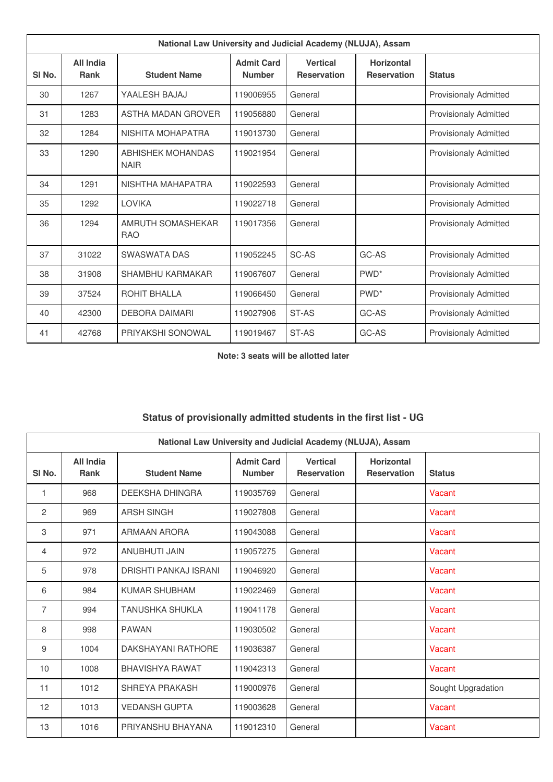| National Law University and Judicial Academy (NLUJA), Assam |                                 |                                  |                                    |                                       |                                         |                              |
|-------------------------------------------------------------|---------------------------------|----------------------------------|------------------------------------|---------------------------------------|-----------------------------------------|------------------------------|
| SI <sub>No.</sub>                                           | <b>All India</b><br><b>Rank</b> | <b>Student Name</b>              | <b>Admit Card</b><br><b>Number</b> | <b>Vertical</b><br><b>Reservation</b> | <b>Horizontal</b><br><b>Reservation</b> | <b>Status</b>                |
| 30                                                          | 1267                            | YAALESH BAJAJ                    | 119006955                          | General                               |                                         | <b>Provisionaly Admitted</b> |
| 31                                                          | 1283                            | ASTHA MADAN GROVER               | 119056880                          | General                               |                                         | <b>Provisionaly Admitted</b> |
| 32                                                          | 1284                            | NISHITA MOHAPATRA                | 119013730                          | General                               |                                         | <b>Provisionaly Admitted</b> |
| 33                                                          | 1290                            | ABHISHEK MOHANDAS<br><b>NAIR</b> | 119021954                          | General                               |                                         | <b>Provisionaly Admitted</b> |
| 34                                                          | 1291                            | NISHTHA MAHAPATRA                | 119022593                          | General                               |                                         | <b>Provisionaly Admitted</b> |
| 35                                                          | 1292                            | <b>LOVIKA</b>                    | 119022718                          | General                               |                                         | <b>Provisionaly Admitted</b> |
| 36                                                          | 1294                            | AMRUTH SOMASHEKAR<br><b>RAO</b>  | 119017356                          | General                               |                                         | <b>Provisionaly Admitted</b> |
| 37                                                          | 31022                           | SWASWATA DAS                     | 119052245                          | SC-AS                                 | GC-AS                                   | <b>Provisionaly Admitted</b> |
| 38                                                          | 31908                           | <b>SHAMBHU KARMAKAR</b>          | 119067607                          | General                               | PWD <sup>*</sup>                        | <b>Provisionaly Admitted</b> |
| 39                                                          | 37524                           | ROHIT BHALLA                     | 119066450                          | General                               | PWD <sup>*</sup>                        | <b>Provisionaly Admitted</b> |
| 40                                                          | 42300                           | <b>DEBORA DAIMARI</b>            | 119027906                          | ST-AS                                 | GC-AS                                   | <b>Provisionaly Admitted</b> |
| 41                                                          | 42768                           | PRIYAKSHI SONOWAL                | 119019467                          | ST-AS                                 | GC-AS                                   | <b>Provisionaly Admitted</b> |

**Note: 3 seats will be allotted later**

## **Status of provisionally admitted students in the first list - UG**

| National Law University and Judicial Academy (NLUJA), Assam |                          |                        |                                    |                                       |                                         |                    |
|-------------------------------------------------------------|--------------------------|------------------------|------------------------------------|---------------------------------------|-----------------------------------------|--------------------|
| SI <sub>No.</sub>                                           | All India<br><b>Rank</b> | <b>Student Name</b>    | <b>Admit Card</b><br><b>Number</b> | <b>Vertical</b><br><b>Reservation</b> | <b>Horizontal</b><br><b>Reservation</b> | <b>Status</b>      |
| $\mathbf{1}$                                                | 968                      | DEEKSHA DHINGRA        | 119035769                          | General                               |                                         | Vacant             |
| 2                                                           | 969                      | <b>ARSH SINGH</b>      | 119027808                          | General                               |                                         | Vacant             |
| 3                                                           | 971                      | ARMAAN ARORA           | 119043088                          | General                               |                                         | Vacant             |
| $\overline{4}$                                              | 972                      | ANUBHUTI JAIN          | 119057275                          | General                               |                                         | Vacant             |
| 5                                                           | 978                      | DRISHTI PANKAJ ISRANI  | 119046920                          | General                               |                                         | Vacant             |
| 6                                                           | 984                      | KUMAR SHUBHAM          | 119022469                          | General                               |                                         | Vacant             |
| $\overline{7}$                                              | 994                      | TANUSHKA SHUKLA        | 119041178                          | General                               |                                         | Vacant             |
| 8                                                           | 998                      | <b>PAWAN</b>           | 119030502                          | General                               |                                         | Vacant             |
| 9                                                           | 1004                     | DAKSHAYANI RATHORE     | 119036387                          | General                               |                                         | Vacant             |
| 10                                                          | 1008                     | <b>BHAVISHYA RAWAT</b> | 119042313                          | General                               |                                         | Vacant             |
| 11                                                          | 1012                     | SHREYA PRAKASH         | 119000976                          | General                               |                                         | Sought Upgradation |
| 12                                                          | 1013                     | <b>VEDANSH GUPTA</b>   | 119003628                          | General                               |                                         | Vacant             |
| 13                                                          | 1016                     | PRIYANSHU BHAYANA      | 119012310                          | General                               |                                         | Vacant             |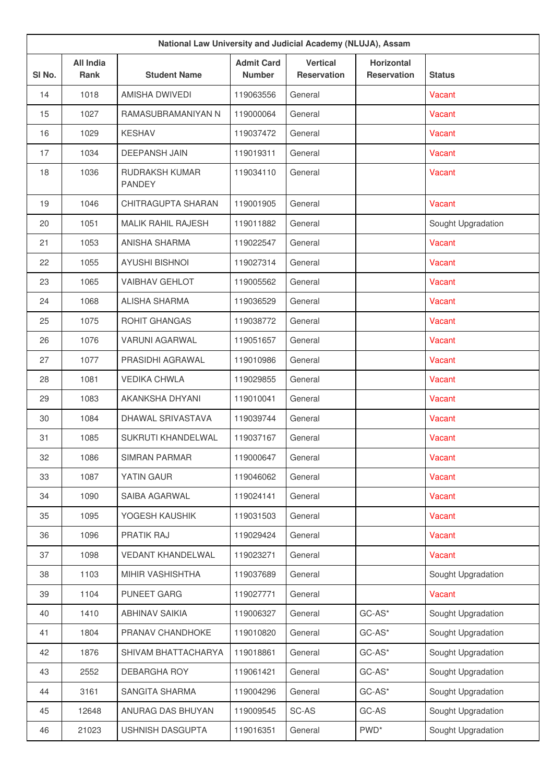| National Law University and Judicial Academy (NLUJA), Assam |                                 |                                 |                                    |                                       |                                         |                    |
|-------------------------------------------------------------|---------------------------------|---------------------------------|------------------------------------|---------------------------------------|-----------------------------------------|--------------------|
| SI No.                                                      | <b>All India</b><br><b>Rank</b> | <b>Student Name</b>             | <b>Admit Card</b><br><b>Number</b> | <b>Vertical</b><br><b>Reservation</b> | <b>Horizontal</b><br><b>Reservation</b> | <b>Status</b>      |
| 14                                                          | 1018                            | AMISHA DWIVEDI                  | 119063556                          | General                               |                                         | Vacant             |
| 15                                                          | 1027                            | RAMASUBRAMANIYAN N              | 119000064                          | General                               |                                         | Vacant             |
| 16                                                          | 1029                            | <b>KESHAV</b>                   | 119037472                          | General                               |                                         | Vacant             |
| 17                                                          | 1034                            | <b>DEEPANSH JAIN</b>            | 119019311                          | General                               |                                         | Vacant             |
| 18                                                          | 1036                            | RUDRAKSH KUMAR<br><b>PANDEY</b> | 119034110                          | General                               |                                         | Vacant             |
| 19                                                          | 1046                            | CHITRAGUPTA SHARAN              | 119001905                          | General                               |                                         | Vacant             |
| 20                                                          | 1051                            | <b>MALIK RAHIL RAJESH</b>       | 119011882                          | General                               |                                         | Sought Upgradation |
| 21                                                          | 1053                            | <b>ANISHA SHARMA</b>            | 119022547                          | General                               |                                         | Vacant             |
| 22                                                          | 1055                            | <b>AYUSHI BISHNOI</b>           | 119027314                          | General                               |                                         | Vacant             |
| 23                                                          | 1065                            | <b>VAIBHAV GEHLOT</b>           | 119005562                          | General                               |                                         | Vacant             |
| 24                                                          | 1068                            | <b>ALISHA SHARMA</b>            | 119036529                          | General                               |                                         | Vacant             |
| 25                                                          | 1075                            | <b>ROHIT GHANGAS</b>            | 119038772                          | General                               |                                         | Vacant             |
| 26                                                          | 1076                            | <b>VARUNI AGARWAL</b>           | 119051657                          | General                               |                                         | Vacant             |
| 27                                                          | 1077                            | PRASIDHI AGRAWAL                | 119010986                          | General                               |                                         | Vacant             |
| 28                                                          | 1081                            | <b>VEDIKA CHWLA</b>             | 119029855                          | General                               |                                         | Vacant             |
| 29                                                          | 1083                            | AKANKSHA DHYANI                 | 119010041                          | General                               |                                         | Vacant             |
| 30                                                          | 1084                            | DHAWAL SRIVASTAVA               | 119039744                          | General                               |                                         | Vacant             |
| 31                                                          | 1085                            | SUKRUTI KHANDELWAL              | 119037167                          | General                               |                                         | Vacant             |
| 32                                                          | 1086                            | <b>SIMRAN PARMAR</b>            | 119000647                          | General                               |                                         | Vacant             |
| 33                                                          | 1087                            | YATIN GAUR                      | 119046062                          | General                               |                                         | Vacant             |
| 34                                                          | 1090                            | SAIBA AGARWAL                   | 119024141                          | General                               |                                         | Vacant             |
| 35                                                          | 1095                            | YOGESH KAUSHIK                  | 119031503                          | General                               |                                         | Vacant             |
| 36                                                          | 1096                            | PRATIK RAJ                      | 119029424                          | General                               |                                         | Vacant             |
| 37                                                          | 1098                            | <b>VEDANT KHANDELWAL</b>        | 119023271                          | General                               |                                         | Vacant             |
| 38                                                          | 1103                            | MIHIR VASHISHTHA                | 119037689                          | General                               |                                         | Sought Upgradation |
| 39                                                          | 1104                            | <b>PUNEET GARG</b>              | 119027771                          | General                               |                                         | Vacant             |
| 40                                                          | 1410                            | <b>ABHINAV SAIKIA</b>           | 119006327                          | General                               | $GC-AS^*$                               | Sought Upgradation |
| 41                                                          | 1804                            | PRANAV CHANDHOKE                | 119010820                          | General                               | $GC-AS^*$                               | Sought Upgradation |
| 42                                                          | 1876                            | SHIVAM BHATTACHARYA             | 119018861                          | General                               | $GC-AS^*$                               | Sought Upgradation |
| 43                                                          | 2552                            | <b>DEBARGHA ROY</b>             | 119061421                          | General                               | $GC-AS^*$                               | Sought Upgradation |
| 44                                                          | 3161                            | SANGITA SHARMA                  | 119004296                          | General                               | $GC-AS^*$                               | Sought Upgradation |
| 45                                                          | 12648                           | ANURAG DAS BHUYAN               | 119009545                          | SC-AS                                 | GC-AS                                   | Sought Upgradation |
| 46                                                          | 21023                           | USHNISH DASGUPTA                | 119016351                          | General                               | PWD <sup>*</sup>                        | Sought Upgradation |